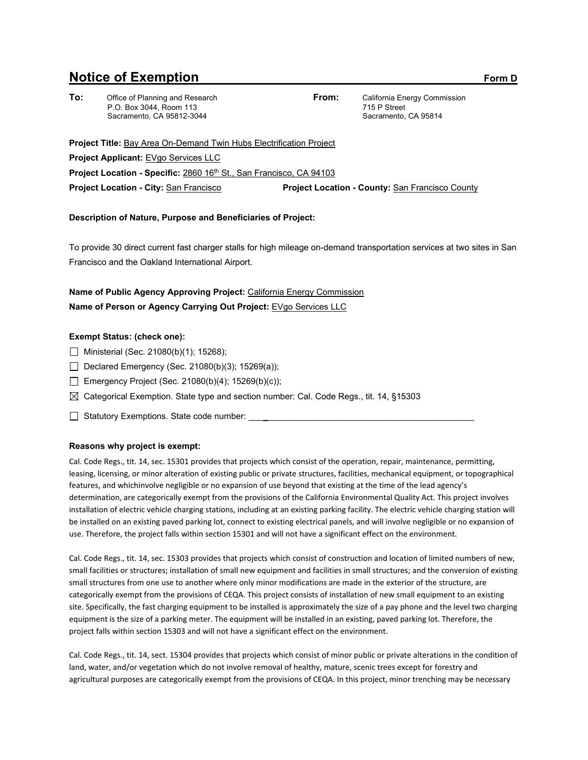# **Notice of Exemption** Form D

**To:** Office of Planning and Research P.O. Box 3044, Room 113 Sacramento, CA 95812-3044

**From:** California Energy Commission 715 P Street Sacramento, CA 95814

Project Title: Bay Area On-Demand Twin Hubs Electrification Project **Project Applicant:** EVgo Services LLC **Project Location - Specific: 2860 16<sup>th</sup> St., San Francisco, CA 94103 Project Location - City:** San Francisco **Project Location - County:** San Francisco County

### **Description of Nature, Purpose and Beneficiaries of Project:**

To provide 30 direct current fast charger stalls for high mileage on-demand transportation services at two sites in San Francisco and the Oakland International Airport.

## **Name of Public Agency Approving Project:** California Energy Commission **Name of Person or Agency Carrying Out Project:** EVgo Services LLC

### **Exempt Status: (check one):**

- $\Box$  Ministerial (Sec. 21080(b)(1); 15268);
- Declared Emergency (Sec. 21080(b)(3); 15269(a));
- Emergency Project (Sec. 21080(b)(4); 15269(b)(c));
- $\boxtimes$  Categorical Exemption. State type and section number: Cal. Code Regs., tit. 14, §15303
- □ Statutory Exemptions. State code number:

#### **Reasons why project is exempt:**

Cal. Code Regs., tit. 14, sec. 15301 provides that projects which consist of the operation, repair, maintenance, permitting, leasing, licensing, or minor alteration of existing public or private structures, facilities, mechanical equipment, or topographical features, and whichinvolve negligible or no expansion of use beyond that existing at the time of the lead agency's determination, are categorically exempt from the provisions of the California Environmental Quality Act. This project involves installation of electric vehicle charging stations, including at an existing parking facility. The electric vehicle charging station will be installed on an existing paved parking lot, connect to existing electrical panels, and will involve negligible or no expansion of use. Therefore, the project falls within section 15301 and will not have a significant effect on the environment.

Cal. Code Regs., tit. 14, sec. 15303 provides that projects which consist of construction and location of limited numbers of new, small facilities or structures; installation of small new equipment and facilities in small structures; and the conversion of existing small structures from one use to another where only minor modifications are made in the exterior of the structure, are categorically exempt from the provisions of CEQA. This project consists of installation of new small equipment to an existing site. Specifically, the fast charging equipment to be installed is approximately the size of a pay phone and the level two charging equipment is the size of a parking meter. The equipment will be installed in an existing, paved parking lot. Therefore, the project falls within section 15303 and will not have a significant effect on the environment.

Cal. Code Regs., tit. 14, sect. 15304 provides that projects which consist of minor public or private alterations in the condition of land, water, and/or vegetation which do not involve removal of healthy, mature, scenic trees except for forestry and agricultural purposes are categorically exempt from the provisions of CEQA. In this project, minor trenching may be necessary